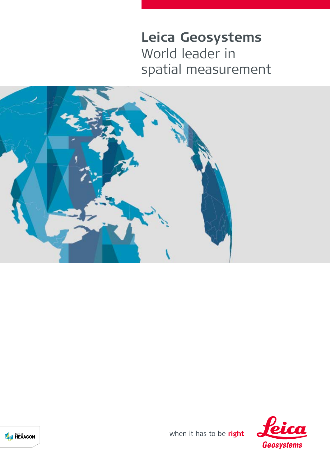### **Leica Geosystems** World leader in spatial measurement





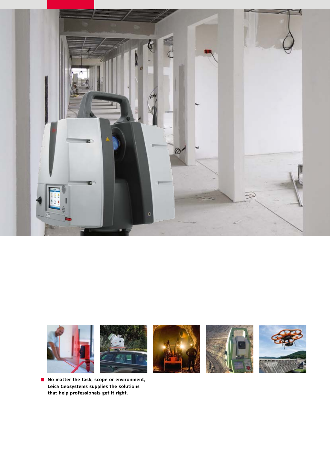



**No matter the task, scope or environment, Leica Geosystems supplies the solutions that help professionals get it right.**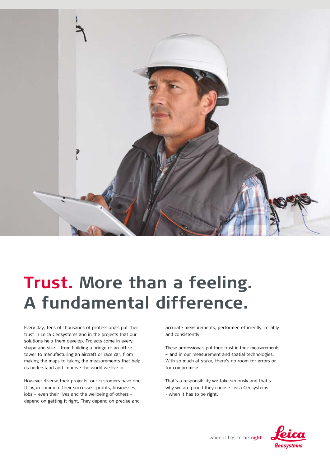

### **Trust. More than a feeling. A fundamental difference.**

Every day, tens of thousands of professionals put their trust in Leica Geosystems and in the projects that our solutions help them develop. Projects come in every shape and size – from building a bridge or an office tower to manufacturing an aircraft or race car, from making the maps to taking the measurements that help us understand and improve the world we live in.

However diverse their projects, our customers have one thing in common: their successes, profits, businesses, jobs – even their lives and the wellbeing of others – depend on getting it right. They depend on precise and

accurate measurements, performed efficiently, reliably and consistently.

These professionals put their trust in their measurements – and in our measurement and spatial technologies. With so much at stake, there's no room for errors or for compromise.

That's a responsibility we take seriously and that's why we are proud they choose Leica Geosystems - when it has to be right.

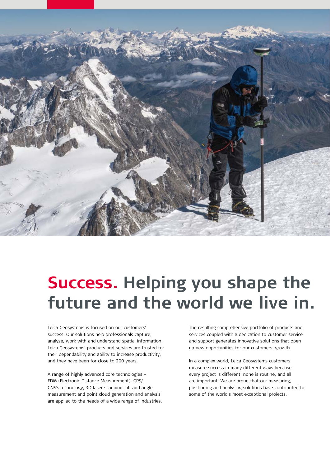

### **Success. Helping you shape the future and the world we live in.**

Leica Geosystems is focused on our customers' success. Our solutions help professionals capture, analyse, work with and understand spatial information. Leica Geosystems' products and services are trusted for their dependability and ability to increase productivity, and they have been for close to 200 years.

A range of highly advanced core technologies – EDM (Electronic Distance Measurement), GPS/ GNSS technology, 3D laser scanning, tilt and angle measurement and point cloud generation and analysis are applied to the needs of a wide range of industries. The resulting comprehensive portfolio of products and services coupled with a dedication to customer service and support generates innovative solutions that open up new opportunities for our customers' growth.

In a complex world, Leica Geosystems customers measure success in many different ways because every project is different, none is routine, and all are important. We are proud that our measuring, positioning and analysing solutions have contributed to some of the world's most exceptional projects.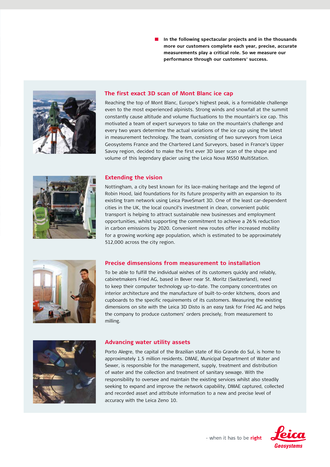**In the following spectacular projects and in the thousands more our customers complete each year, precise, accurate measurements play a critical role. So we measure our performance through our customers' success.** 



#### **The first exact 3D scan of Mont Blanc ice cap**

Reaching the top of Mont Blanc, Europe's highest peak, is a formidable challenge even to the most experienced alpinists. Strong winds and snowfall at the summit constantly cause altitude and volume fluctuations to the mountain's ice cap. This motivated a team of expert surveyors to take on the mountain's challenge and every two years determine the actual variations of the ice cap using the latest in measurement technology. The team, consisting of two surveyors from Leica Geosystems France and the Chartered Land Surveyors, based in France's Upper Savoy region, decided to make the first ever 3D laser scan of the shape and volume of this legendary glacier using the Leica Nova MS50 MultiStation.



#### **Extending the vision**

Nottingham, a city best known for its lace-making heritage and the legend of Robin Hood, laid foundations for its future prosperity with an expansion to its existing tram network using Leica PaveSmart 3D. One of the least car-dependent cities in the UK, the local council's investment in clean, convenient public transport is helping to attract sustainable new businesses and employment opportunities, whilst supporting the commitment to achieve a 26% reduction in carbon emissions by 2020. Convenient new routes offer increased mobility for a growing working age population, which is estimated to be approximately 512,000 across the city region.



#### **Precise dimsensions from measurement to installation**

To be able to fulfill the individual wishes of its customers quickly and reliably, cabinetmakers Fried AG, based in Bever near St. Moritz (Switzerland), need to keep their computer technology up-to-date. The company concentrates on interior architecture and the manufacture of built-to-order kitchens, doors and cupboards to the specific requirements of its customers. Measuring the existing dimensions on site with the Leica 3D Disto is an easy task for Fried AG and helps the company to produce customers' orders precisely, from measurement to milling.



#### **Advancing water utility assets**

Porto Alegre, the capital of the Brazilian state of Rio Grande do Sul, is home to approximately 1.5 million residents. DMAE, Municipal Department of Water and Sewer, is responsible for the management, supply, treatment and distribution of water and the collection and treatment of sanitary sewage. With the responsibility to oversee and maintain the existing services whilst also steadily seeking to expand and improve the network capability, DMAE captured, collected and recorded asset and attribute information to a new and precise level of accuracy with the Leica Zeno 10.

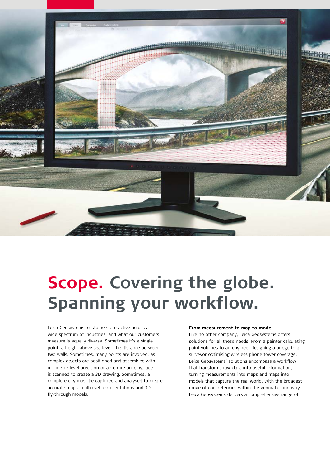

### **Scope. Covering the globe. Spanning your workflow.**

Leica Geosystems' customers are active across a wide spectrum of industries, and what our customers measure is equally diverse. Sometimes it's a single point, a height above sea level, the distance between two walls. Sometimes, many points are involved, as complex objects are positioned and assembled with millimetre-level precision or an entire building face is scanned to create a 3D drawing. Sometimes, a complete city must be captured and analysed to create accurate maps, multilevel representations and 3D fly-through models.

#### **From measurement to map to model**

Like no other company, Leica Geosystems offers solutions for all these needs. From a painter calculating paint volumes to an engineer designing a bridge to a surveyor optimising wireless phone tower coverage. Leica Geosystems' solutions encompass a workflow that transforms raw data into useful information, turning measurements into maps and maps into models that capture the real world. With the broadest range of competencies within the geomatics industry, Leica Geosystems delivers a comprehensive range of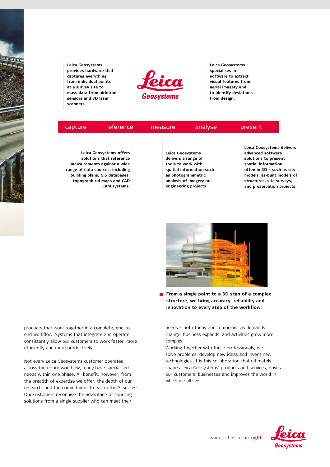**Leica Geosystems provides hardware that captures everything from individual points at a survey site to mass data from airborne sensors and 3D laser scanners.**

**CAM systems.**



**Leica Geosystems specialises in software to extract visual features from aerial imagery and to identify deviations from design.**

**and preservation projects.**

| capture                    | reference                                                                                                                                                | measure                | analyse                                                                                     | present                                                                                                                                                     |  |
|----------------------------|----------------------------------------------------------------------------------------------------------------------------------------------------------|------------------------|---------------------------------------------------------------------------------------------|-------------------------------------------------------------------------------------------------------------------------------------------------------------|--|
|                            | Leica Geosystems offers<br>solutions that reference<br>measurements against a wide<br>range of data sources, including<br>building plans, GIS databases, | Leica Geosystems       | delivers a range of<br>tools to work with<br>spatial information such<br>as photogrammetric | Leica Geosystems delivers<br>advanced software<br>solutions to present<br>spatial information -<br>often in 3D - such as city<br>models, as-built models of |  |
| topographical maps and CAD |                                                                                                                                                          | analysis of imagery or |                                                                                             | structures, site surveys,                                                                                                                                   |  |

**engineering projects.**



**From a single point to a 3D scan of a complex structure, we bring accuracy, reliability and innovation to every step of the workflow.**

needs – both today and tomorrow, as demands change, business expands, and activities grow more complex.

Working together with these professionals, we solve problems, develop new ideas and invent new technologies. It is this collaboration that ultimately shapes Leica Geosystems' products and services, drives our customers' businesses and improves the world in which we all live.



products that work together in a complete, end-toend workflow. Systems that integrate and operate consistently allow our customers to work faster, more efficiently and more productively.

Not every Leica Geosystems customer operates across the entire workflow; many have specialised needs within one phase. All benefit, however, from the breadth of expertise we offer, the depth of our research, and the commitment to each other's success. Our customers recognise the advantage of sourcing solutions from a single supplier who can meet their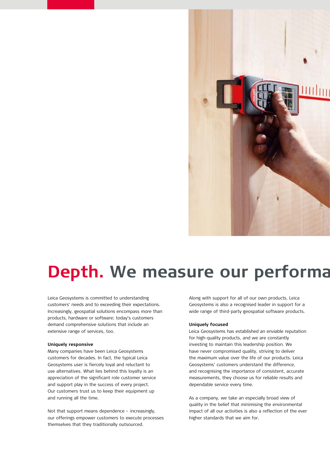

# **Depth.** We measure our performa

Leica Geosystems is committed to understanding customers' needs and to exceeding their expectations. Increasingly, geospatial solutions encompass more than products, hardware or software; today's customers demand comprehensive solutions that include an extensive range of services, too.

#### **Uniquely responsive**

Many companies have been Leica Geosystems customers for decades. In fact, the typical Leica Geosystems user is fiercely loyal and reluctant to use alternatives. What lies behind this loyalty is an appreciation of the significant role customer service and support play in the success of every project. Our customers trust us to keep their equipment up and running all the time.

Not that support means dependence – increasingly, our offerings empower customers to execute processes themselves that they traditionally outsourced.

Along with support for all of our own products, Leica Geosystems is also a recognised leader in support for a wide range of third-party geospatial software products.

#### **Uniquely focused**

Leica Geosystems has established an enviable reputation for high-quality products, and we are constantly investing to maintain this leadership position. We have never compromised quality, striving to deliver the maximum value over the life of our products. Leica Geosystems' customers understand the difference, and recognising the importance of consistent, accurate measurements, they choose us for reliable results and dependable service every time.

As a company, we take an especially broad view of quality in the belief that minimising the environmental impact of all our activities is also a reflection of the ever higher standards that we aim for.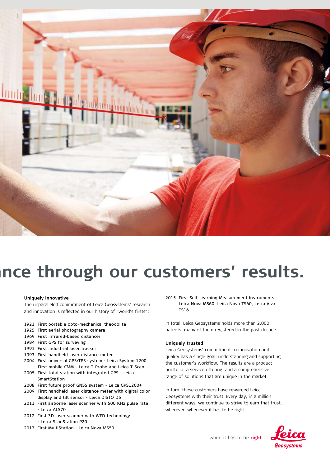

# Ince through our customers' results.

#### **Uniquely innovative**

The unparalleled commitment of Leica Geosystems' research and innovation is reflected in our history of "world's firsts":

- 1921 First portable opto-mechanical theodolite
- 1925 First aerial photography camera
- 1969 First infrared-based distancer
- 1984 First GPS for surveying
- 1991 First industrial laser tracker
- 1993 First handheld laser distance meter
- 2004 First universal GPS/TPS system Leica System 1200 First mobile CMM - Leica T-Probe and Leica T-Scan
- 2005 First total station with integrated GPS Leica SmartStation
- 2008 First future proof GNSS system Leica GPS1200+
- 2009 First handheld laser distance meter with digital color display and tilt sensor - Leica DISTO D5
- 2011 First airborne laser scanner with 500 KHz pulse rate - Leica ALS70
- 2012 First 3D laser scanner with WFD technology - Leica ScanStation P20
- 2013 First MultiStation Leica Nova MS50

2015 First Self-Learning Measurement Instruments - Leica Nova MS60, Leica Nova TS60, Leica Viva TS16

In total, Leica Geosystems holds more than 2,000 patents, many of them registered in the past decade.

#### **Uniquely trusted**

Leica Geosystems' commitment to innovation and quality has a single goal: understanding and supporting the customer's workflow. The results are a product portfolio, a service offering, and a comprehensive range of solutions that are unique in the market.

In turn, these customers have rewarded Leica Geosystems with their trust. Every day, in a million different ways, we continue to strive to earn that trust, wherever, whenever it has to be right.

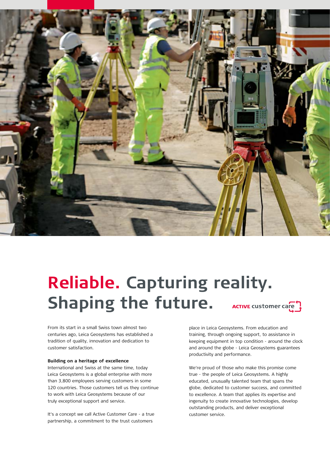

### **Reliable. Capturing reality. Shaping the future.**ACTIVE CUSTOMER Care

From its start in a small Swiss town almost two centuries ago, Leica Geosystems has established a tradition of quality, innovation and dedication to customer satisfaction.

#### **Building on a heritage of excellence**

International and Swiss at the same time, today Leica Geosystems is a global enterprise with more than 3,800 employees serving customers in some 120 countries. Those customers tell us they continue to work with Leica Geosystems because of our truly exceptional support and service.

It's a concept we call Active Customer Care - a true partnership, a commitment to the trust customers

place in Leica Geosystems. From education and training, through ongoing support, to assistance in keeping equipment in top condition - around the clock and around the globe - Leica Geosystems guarantees productivity and performance.

We're proud of those who make this promise come true - the people of Leica Geosystems. A highly educated, unusually talented team that spans the globe, dedicated to customer success, and committed to excellence. A team that applies its expertise and ingenuity to create innovative technologies, develop outstanding products, and deliver exceptional customer service.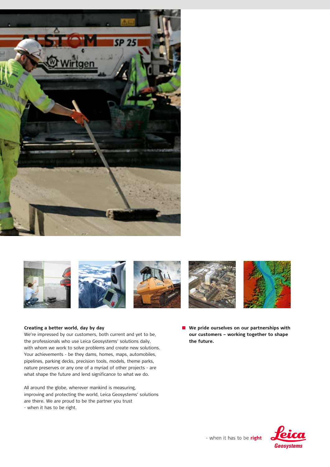



#### **Creating a better world, day by day**

We're impressed by our customers, both current and yet to be, the professionals who use Leica Geosystems' solutions daily, with whom we work to solve problems and create new solutions. Your achievements - be they dams, homes, maps, automobiles, pipelines, parking decks, precision tools, models, theme parks, nature preserves or any one of a myriad of other projects - are what shape the future and lend significance to what we do.

All around the globe, wherever mankind is measuring, improving and protecting the world, Leica Geosystems' solutions are there. We are proud to be the partner you trust - when it has to be right.

**We pride ourselves on our partnerships with our customers – working together to shape the future.**